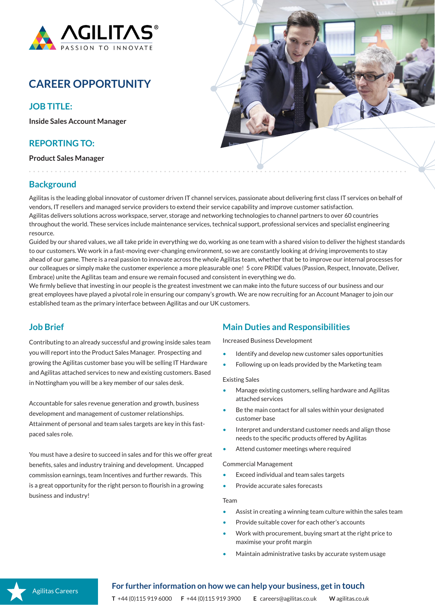

# **CAREER OPPORTUNITY**

## **JOB TITLE:**

**Inside Sales Account Manager**

## **REPORTING TO:**

**Product Sales Manager**



## **Background**

Agilitas is the leading global innovator of customer driven IT channel services, passionate about delivering first class IT services on behalf of vendors, IT resellers and managed service providers to extend their service capability and improve customer satisfaction. Agilitas delivers solutions across workspace, server, storage and networking technologies to channel partners to over 60 countries throughout the world. These services include maintenance services, technical support, professional services and specialist engineering resource.

Guided by our shared values, we all take pride in everything we do, working as one team with a shared vision to deliver the highest standards to our customers. We work in a fast-moving ever-changing environment, so we are constantly looking at driving improvements to stay ahead of our game. There is a real passion to innovate across the whole Agilitas team, whether that be to improve our internal processes for our colleagues or simply make the customer experience a more pleasurable one! 5 core PRIDE values (Passion, Respect, Innovate, Deliver, Embrace) unite the Agilitas team and ensure we remain focused and consistent in everything we do.

We firmly believe that investing in our people is the greatest investment we can make into the future success of our business and our great employees have played a pivotal role in ensuring our company's growth. We are now recruiting for an Account Manager to join our established team as the primary interface between Agilitas and our UK customers.

## **Job Brief**

Contributing to an already successful and growing inside sales team you will report into the Product Sales Manager. Prospecting and growing the Agilitas customer base you will be selling IT Hardware and Agilitas attached services to new and existing customers. Based in Nottingham you will be a key member of our sales desk.

Accountable for sales revenue generation and growth, business development and management of customer relationships. Attainment of personal and team sales targets are key in this fastpaced sales role.

You must have a desire to succeed in sales and for this we offer great benefits, sales and industry training and development. Uncapped commission earnings, team Incentives and further rewards. This is a great opportunity for the right person to flourish in a growing business and industry!

## **Main Duties and Responsibilities**

Increased Business Development

- Identify and develop new customer sales opportunities
- Following up on leads provided by the Marketing team

#### Existing Sales

- Manage existing customers, selling hardware and Agilitas attached services
- Be the main contact for all sales within your designated customer base
- Interpret and understand customer needs and align those needs to the specific products offered by Agilitas
- Attend customer meetings where required

#### Commercial Management

- Exceed individual and team sales targets
- Provide accurate sales forecasts

### Team

- Assist in creating a winning team culture within the sales team
- Provide suitable cover for each other's accounts
- Work with procurement, buying smart at the right price to maximise your profit margin
- Maintain administrative tasks by accurate system usage

## Agilitas Careers

## **For further information on how we can help your business, get in touch**

**T** +44 (0)115 919 6000 **F** +44 (0)115 919 3900 **E** careers@agilitas.co.uk **W** agilitas.co.uk